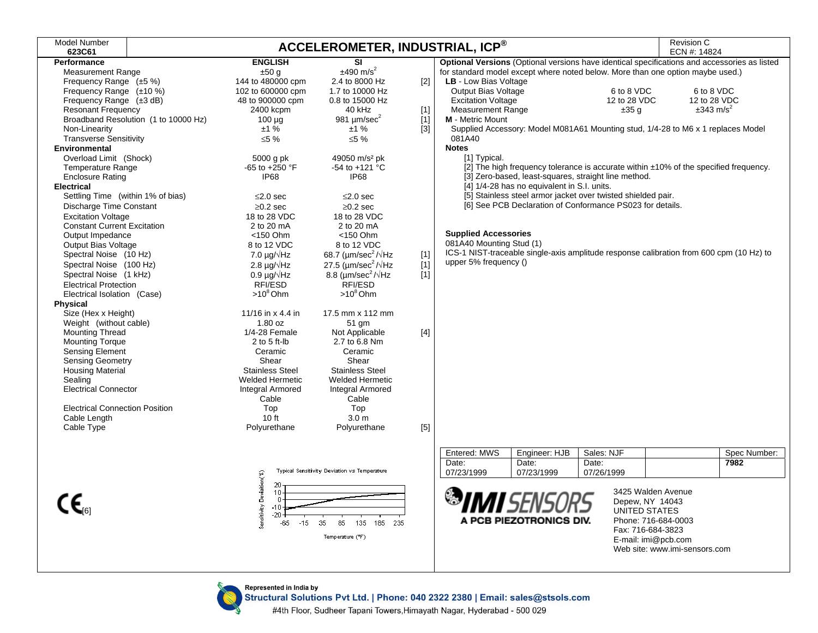| <b>Model Number</b><br>623C61         |                                            |                                               | ACCELEROMETER, INDUSTRIAL, ICP® |                                                                                              | Revision C<br>ECN #: 14824 |                               |
|---------------------------------------|--------------------------------------------|-----------------------------------------------|---------------------------------|----------------------------------------------------------------------------------------------|----------------------------|-------------------------------|
| <b>Performance</b>                    | <b>ENGLISH</b>                             | <b>SI</b>                                     |                                 | Optional Versions (Optional versions have identical specifications and accessories as listed |                            |                               |
| <b>Measurement Range</b>              | ±50 g                                      | $±490$ m/s <sup>2</sup>                       |                                 | for standard model except where noted below. More than one option maybe used.)               |                            |                               |
| Frequency Range (±5 %)                | 144 to 480000 cpm                          | 2.4 to 8000 Hz                                | $[2]$                           | LB - Low Bias Voltage                                                                        |                            |                               |
| Frequency Range (±10 %)               | 102 to 600000 cpm                          | 1.7 to 10000 Hz                               |                                 | Output Bias Voltage                                                                          | 6 to 8 VDC                 | 6 to 8 VDC                    |
| Frequency Range (±3 dB)               | 48 to 900000 cpm                           | 0.8 to 15000 Hz                               |                                 | <b>Excitation Voltage</b>                                                                    | 12 to 28 VDC               | 12 to 28 VDC                  |
| Resonant Frequency                    | 2400 kcpm                                  | 40 kHz                                        | $[1]$                           | <b>Measurement Range</b>                                                                     | ±35q                       | $\pm 343$ m/s <sup>2</sup>    |
| Broadband Resolution (1 to 10000 Hz)  | $100 \mu g$                                | 981 $\mu$ m/sec $^2$                          | $[1]$                           | M - Metric Mount                                                                             |                            |                               |
| Non-Linearity                         | ±1%                                        | ±1%                                           | $[3]$                           | Supplied Accessory: Model M081A61 Mounting stud, 1/4-28 to M6 x 1 replaces Model             |                            |                               |
| <b>Transverse Sensitivity</b>         | ≤5 %                                       | ≤5 %                                          |                                 | 081A40                                                                                       |                            |                               |
| Environmental                         |                                            |                                               |                                 | <b>Notes</b>                                                                                 |                            |                               |
| Overload Limit (Shock)                | 5000 g pk                                  | 49050 m/s <sup>2</sup> pk                     |                                 | [1] Typical.                                                                                 |                            |                               |
| <b>Temperature Range</b>              | $-65$ to $+250$ °F                         | -54 to +121 °C                                |                                 | [2] The high frequency tolerance is accurate within ±10% of the specified frequency.         |                            |                               |
| <b>Enclosure Rating</b>               | <b>IP68</b>                                | <b>IP68</b>                                   |                                 | [3] Zero-based, least-squares, straight line method.                                         |                            |                               |
| <b>Electrical</b>                     |                                            |                                               |                                 | [4] 1/4-28 has no equivalent in S.I. units.                                                  |                            |                               |
| Settling Time (within 1% of bias)     | $\leq$ 2.0 sec                             | $\leq$ 2.0 sec                                |                                 | [5] Stainless steel armor jacket over twisted shielded pair.                                 |                            |                               |
| Discharge Time Constant               | $\geq$ 0.2 sec                             | $\geq$ 0.2 sec                                |                                 | [6] See PCB Declaration of Conformance PS023 for details.                                    |                            |                               |
| <b>Excitation Voltage</b>             | 18 to 28 VDC                               | 18 to 28 VDC                                  |                                 |                                                                                              |                            |                               |
| <b>Constant Current Excitation</b>    | 2 to 20 mA                                 | 2 to 20 mA                                    |                                 |                                                                                              |                            |                               |
| Output Impedance                      | $<$ 150 Ohm                                | <150 Ohm                                      |                                 | <b>Supplied Accessories</b>                                                                  |                            |                               |
| Output Bias Voltage                   | 8 to 12 VDC                                | 8 to 12 VDC                                   |                                 | 081A40 Mounting Stud (1)                                                                     |                            |                               |
| Spectral Noise (10 Hz)                | 7.0 $\mu$ g/ $\sqrt{Hz}$                   | 68.7 ( $\mu$ m/sec <sup>2</sup> / $\sqrt{Hz}$ | $[1]$                           | ICS-1 NIST-traceable single-axis amplitude response calibration from 600 cpm (10 Hz) to      |                            |                               |
| Spectral Noise (100 Hz)               | 2.8 $\mu$ g/ $\sqrt{\text{Hz}}$            | 27.5 ( $\mu$ m/sec <sup>2</sup> / $\sqrt{Hz}$ | $[1]$                           | upper 5% frequency ()                                                                        |                            |                               |
| Spectral Noise (1 kHz)                | $0.9 \mu q / \sqrt{Hz}$                    | 8.8 ( $\mu$ m/sec <sup>2</sup> / $\sqrt{Hz}$  | $[1]$                           |                                                                                              |                            |                               |
| <b>Electrical Protection</b>          | RFI/ESD                                    | RFI/ESD                                       |                                 |                                                                                              |                            |                               |
| Electrical Isolation (Case)           | $>10^8$ Ohm                                | $>10^8$ Ohm                                   |                                 |                                                                                              |                            |                               |
| <b>Physical</b>                       |                                            |                                               |                                 |                                                                                              |                            |                               |
| Size (Hex x Height)                   | 11/16 in x 4.4 in                          | 17.5 mm x 112 mm                              |                                 |                                                                                              |                            |                               |
| Weight (without cable)                | 1.80 oz                                    | 51 gm                                         |                                 |                                                                                              |                            |                               |
| Mounting Thread                       | 1/4-28 Female                              | Not Applicable                                | $[4]$                           |                                                                                              |                            |                               |
| <b>Mounting Torque</b>                | 2 to 5 ft-lb                               | 2.7 to 6.8 Nm                                 |                                 |                                                                                              |                            |                               |
| Sensing Element                       | Ceramic                                    | Ceramic                                       |                                 |                                                                                              |                            |                               |
| <b>Sensing Geometry</b>               | Shear                                      | Shear                                         |                                 |                                                                                              |                            |                               |
| Housing Material                      | <b>Stainless Steel</b>                     | <b>Stainless Steel</b>                        |                                 |                                                                                              |                            |                               |
| Sealing                               | <b>Welded Hermetic</b>                     | <b>Welded Hermetic</b>                        |                                 |                                                                                              |                            |                               |
| <b>Electrical Connector</b>           | Integral Armored                           | Integral Armored                              |                                 |                                                                                              |                            |                               |
|                                       | Cable                                      | Cable                                         |                                 |                                                                                              |                            |                               |
| <b>Electrical Connection Position</b> | Top                                        | Top                                           |                                 |                                                                                              |                            |                               |
| Cable Length                          | 10 ft                                      | 3.0 <sub>m</sub>                              |                                 |                                                                                              |                            |                               |
| Cable Type                            | Polyurethane                               | Polyurethane                                  | $[5]$                           |                                                                                              |                            |                               |
|                                       |                                            |                                               |                                 |                                                                                              |                            |                               |
|                                       |                                            |                                               |                                 | Entered: MWS<br>Engineer: HJB                                                                | Sales: NJF                 | Spec Number:                  |
|                                       |                                            |                                               |                                 | Date:<br>Date:<br>Date:                                                                      |                            | 7982                          |
|                                       |                                            | Typical Sensitivity Deviation vs Temperature  |                                 | 07/23/1999<br>07/23/1999                                                                     | 07/26/1999                 |                               |
|                                       |                                            |                                               |                                 |                                                                                              |                            |                               |
|                                       | 20<br>10                                   |                                               |                                 | 3425 Walden Avenue                                                                           |                            |                               |
| $\Omega$                              |                                            |                                               |                                 |                                                                                              | Depew, NY 14043            |                               |
|                                       | -10<br>$-20-$                              |                                               |                                 |                                                                                              | <b>UNITED STATES</b>       |                               |
|                                       | Sensitivity Deviaiton(%)<br>$-15$<br>$-65$ | -35<br>85<br>135<br>185<br>235                |                                 | PCB PIEZOTRONICS DIV.                                                                        | Phone: 716-684-0003        |                               |
|                                       |                                            |                                               |                                 |                                                                                              | Fax: 716-684-3823          |                               |
|                                       |                                            | Temperature ("F)                              |                                 |                                                                                              | E-mail: imi@pcb.com        |                               |
|                                       |                                            |                                               |                                 |                                                                                              |                            | Web site: www.imi-sensors.com |
|                                       |                                            |                                               |                                 |                                                                                              |                            |                               |



Represented in India by Structural Solutions Pvt Ltd. | Phone: 040 2322 2380 | Email: sales@stsols.com

#4th Floor, Sudheer Tapani Towers, Himayath Nagar, Hyderabad - 500 029